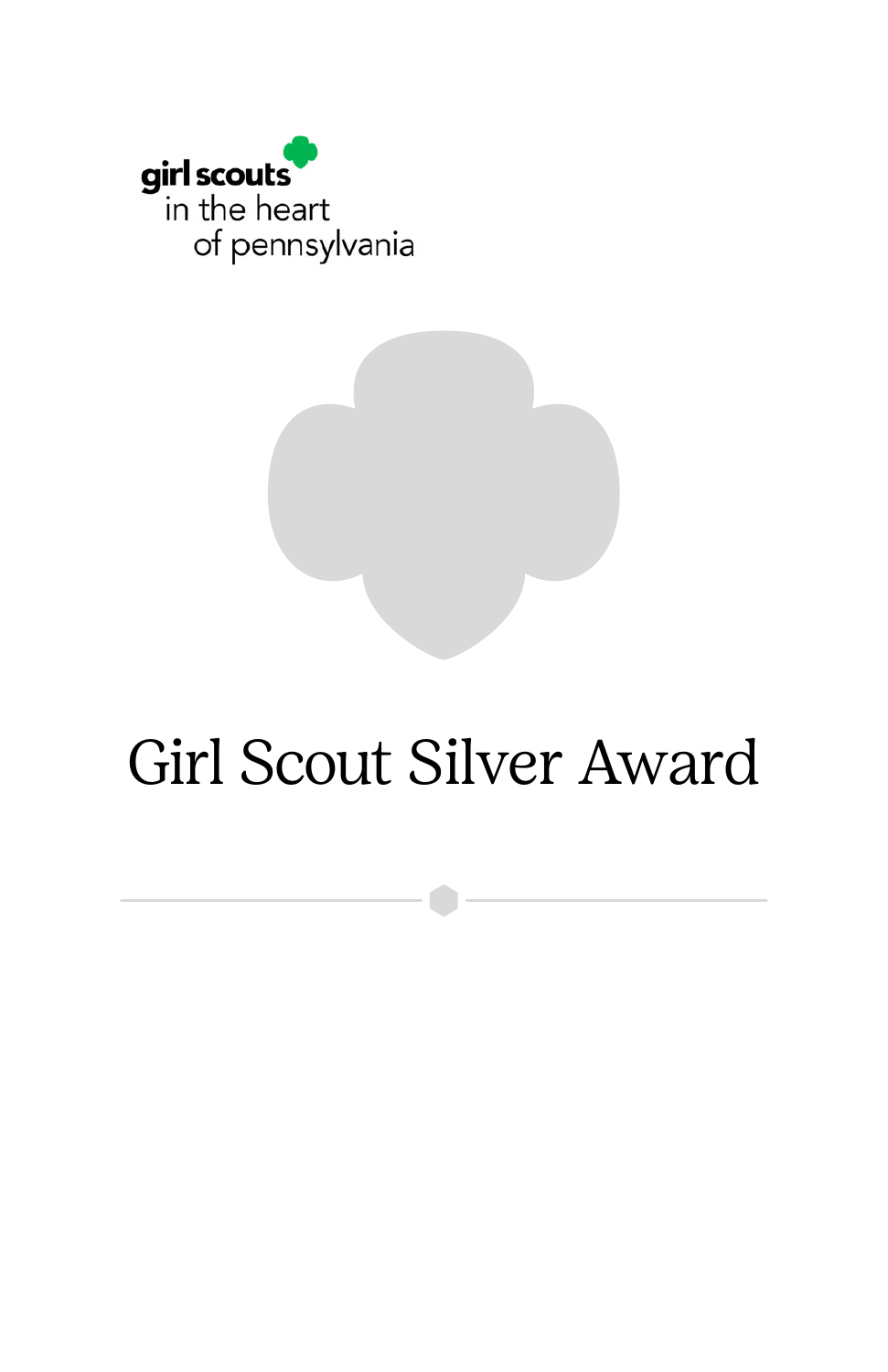

# Girl Scout Silver Award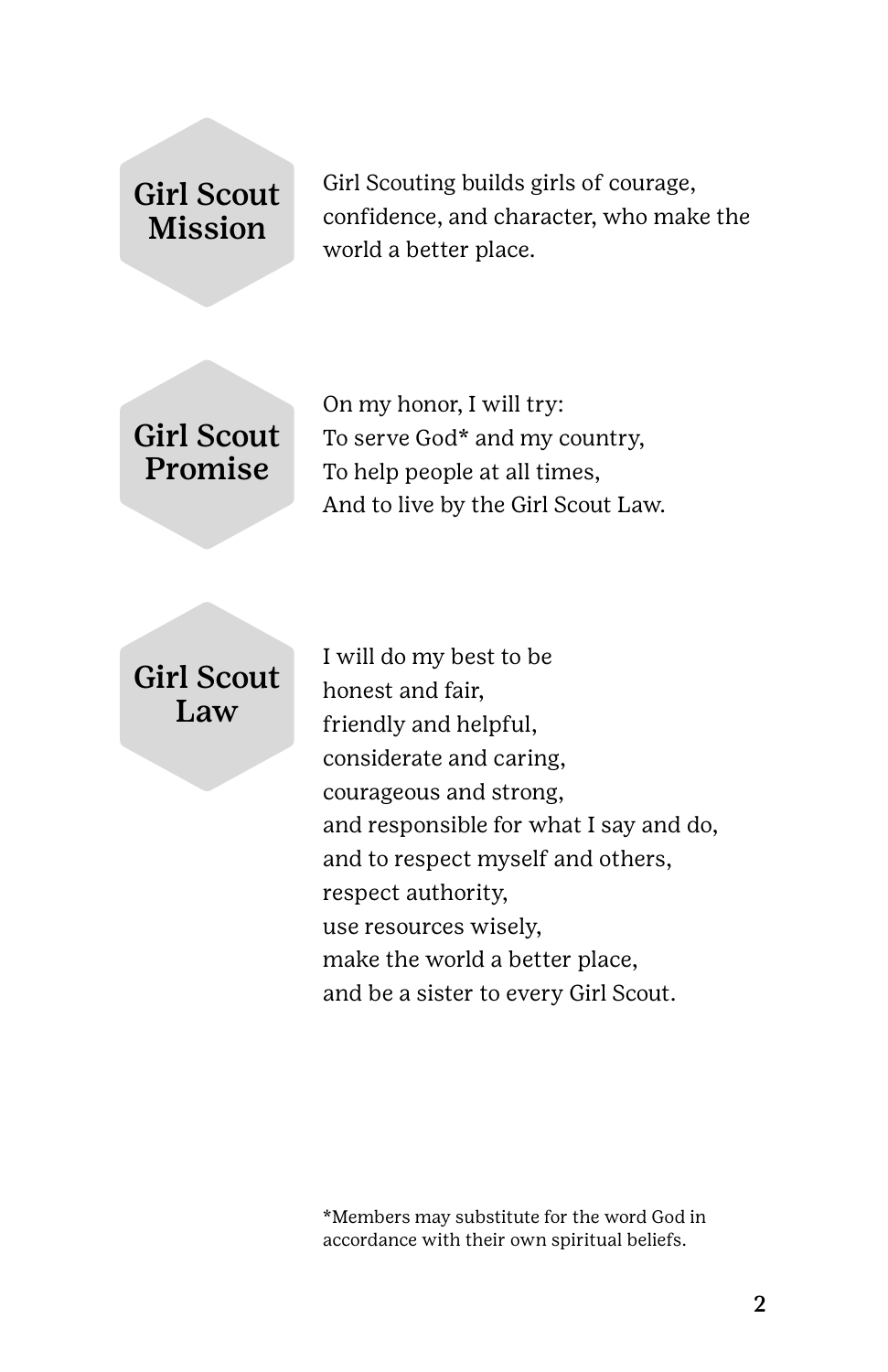### Girl Scout Mission

Girl Scouting builds girls of courage, confidence, and character, who make the world a better place.

### Girl Scout Promise

On my honor, I will try: To serve God\* and my country, To help people at all times, And to live by the Girl Scout Law.

#### Girl Scout Law

I will do my best to be honest and fair, friendly and helpful, considerate and caring, courageous and strong, and responsible for what I say and do, and to respect myself and others, respect authority, use resources wisely, make the world a better place, and be a sister to every Girl Scout.

\*Members may substitute for the word God in accordance with their own spiritual beliefs.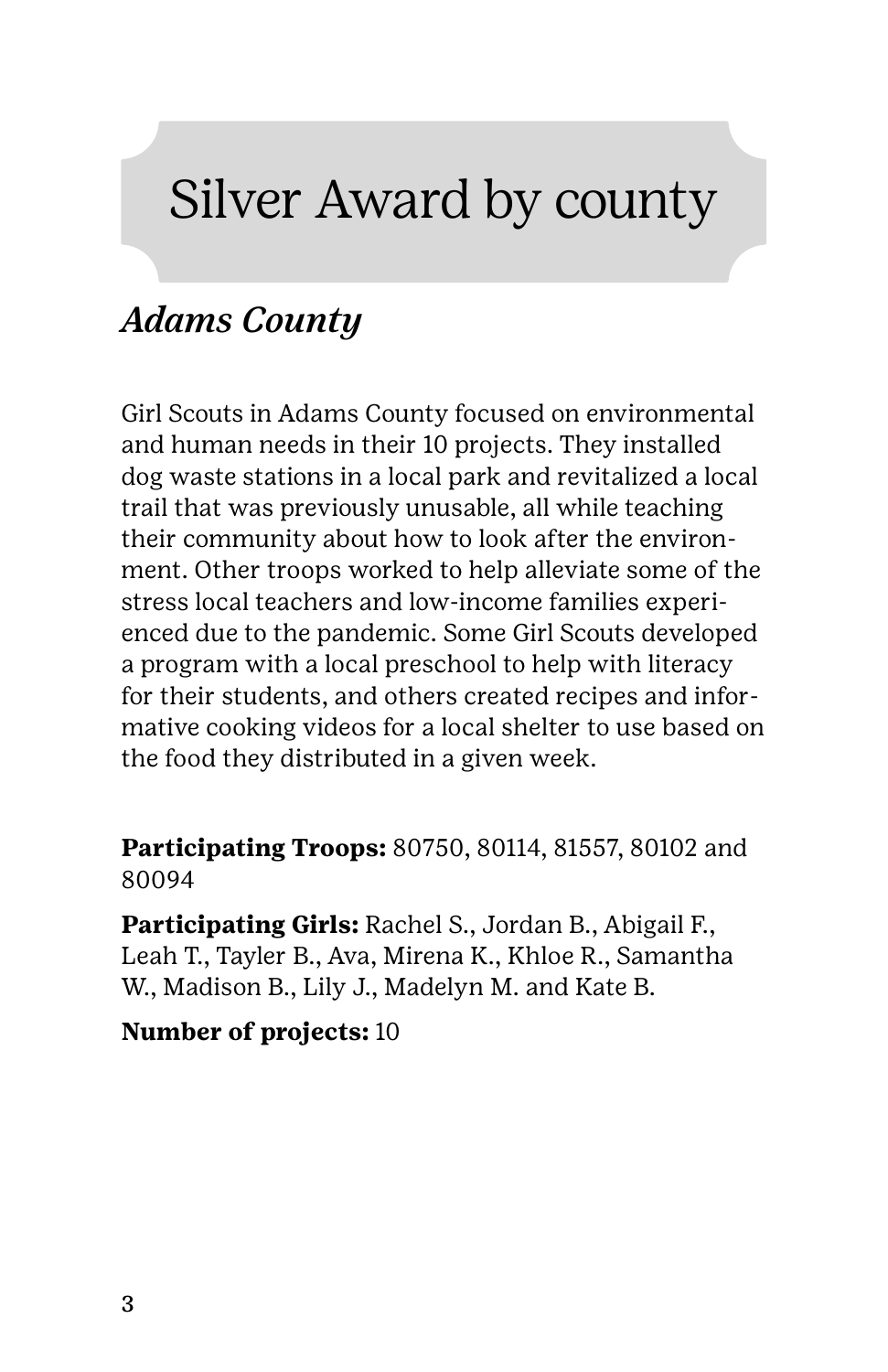## Silver Award by county

### *Adams County*

Girl Scouts in Adams County focused on environmental and human needs in their 10 projects. They installed dog waste stations in a local park and revitalized a local trail that was previously unusable, all while teaching their community about how to look after the environment. Other troops worked to help alleviate some of the stress local teachers and low-income families experienced due to the pandemic. Some Girl Scouts developed a program with a local preschool to help with literacy for their students, and others created recipes and informative cooking videos for a local shelter to use based on the food they distributed in a given week.

**Participating Troops:** 80750, 80114, 81557, 80102 and 80094

**Participating Girls:** Rachel S., Jordan B., Abigail F., Leah T., Tayler B., Ava, Mirena K., Khloe R., Samantha W., Madison B., Lily J., Madelyn M. and Kate B.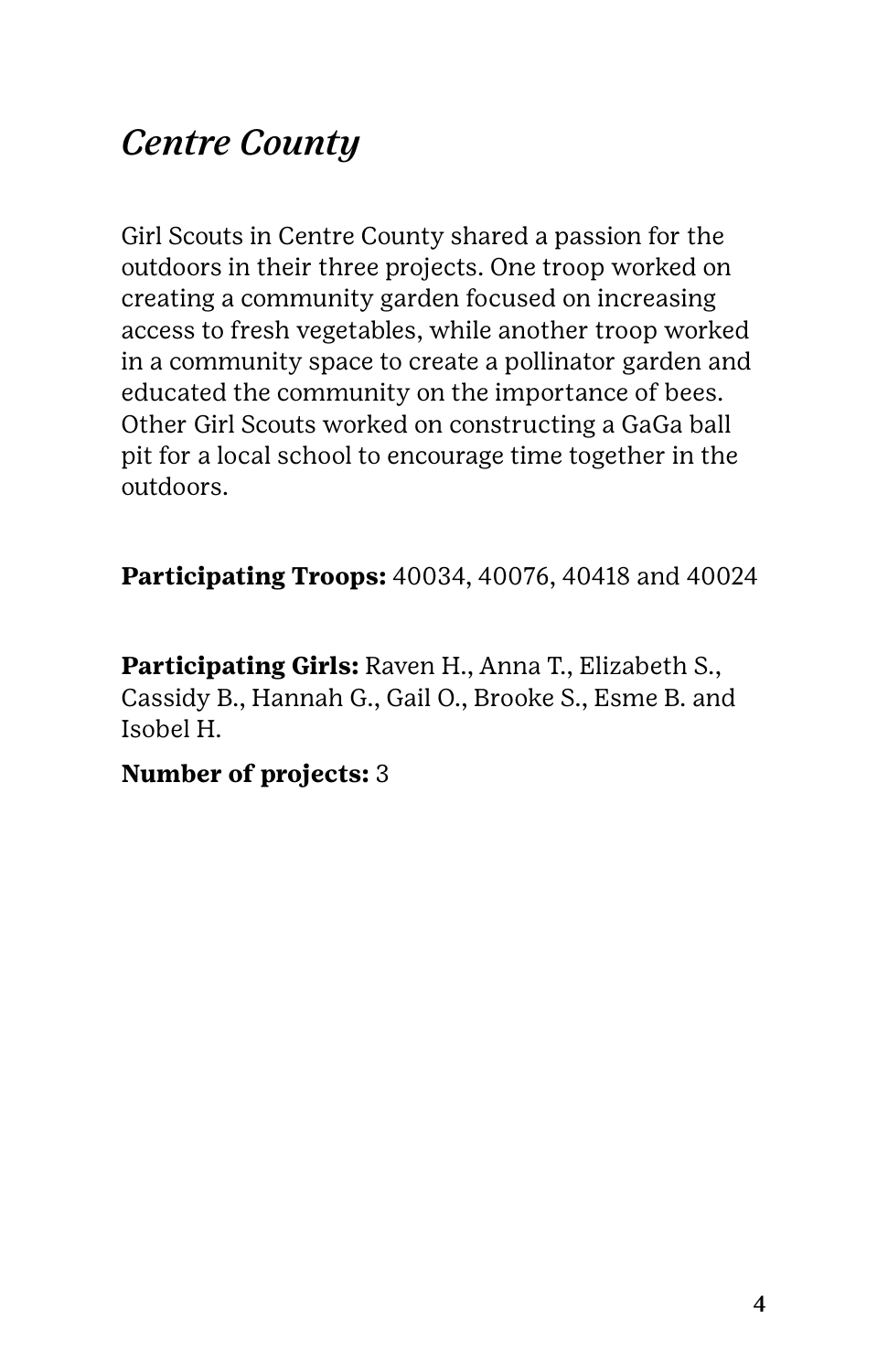### *Centre County*

Girl Scouts in Centre County shared a passion for the outdoors in their three projects. One troop worked on creating a community garden focused on increasing access to fresh vegetables, while another troop worked in a community space to create a pollinator garden and educated the community on the importance of bees. Other Girl Scouts worked on constructing a GaGa ball pit for a local school to encourage time together in the outdoors.

**Participating Troops:** 40034, 40076, 40418 and 40024

**Participating Girls:** Raven H., Anna T., Elizabeth S., Cassidy B., Hannah G., Gail O., Brooke S., Esme B. and Isobel H.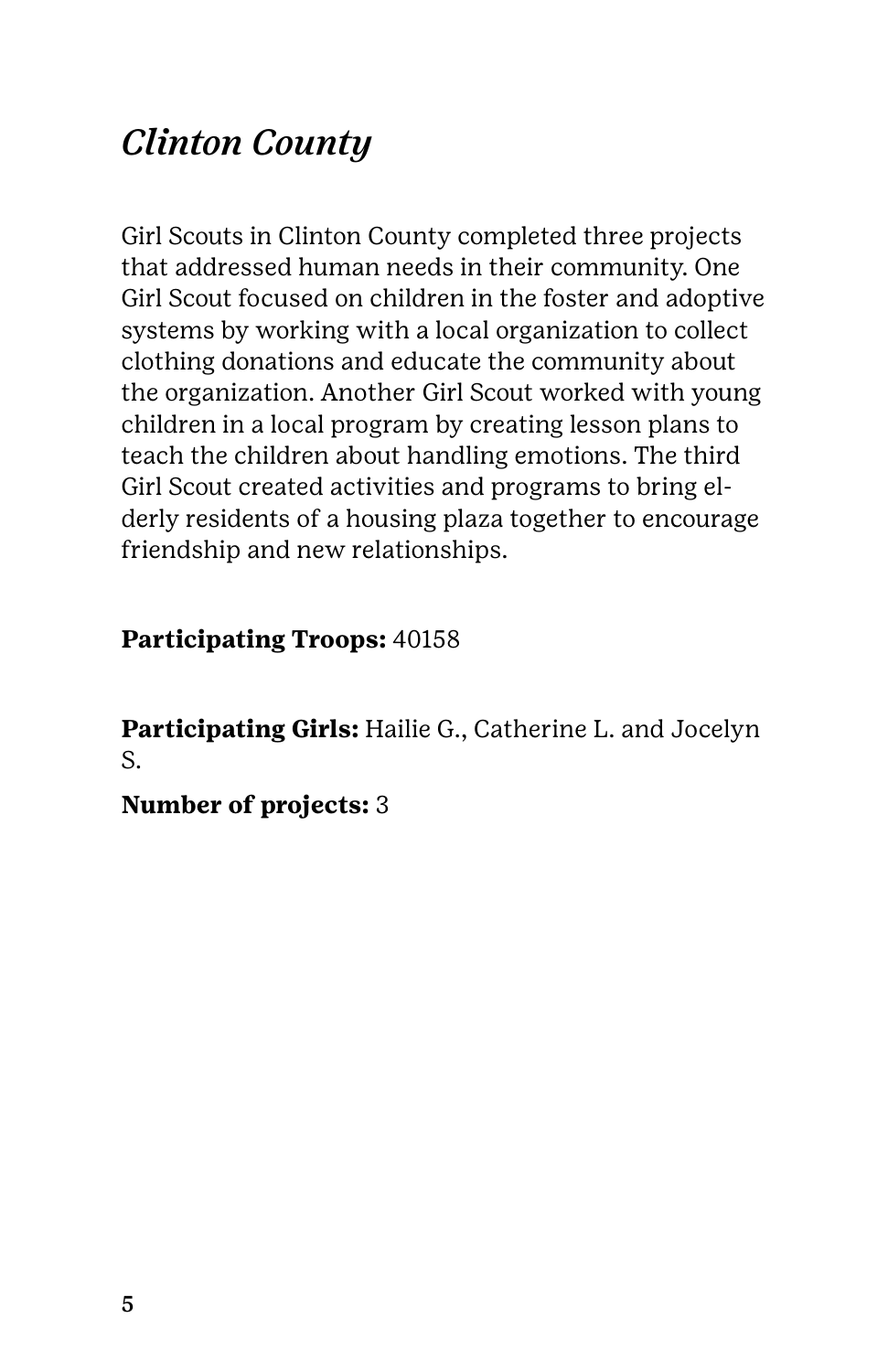### *Clinton County*

Girl Scouts in Clinton County completed three projects that addressed human needs in their community. One Girl Scout focused on children in the foster and adoptive systems by working with a local organization to collect clothing donations and educate the community about the organization. Another Girl Scout worked with young children in a local program by creating lesson plans to teach the children about handling emotions. The third Girl Scout created activities and programs to bring elderly residents of a housing plaza together to encourage friendship and new relationships.

#### **Participating Troops:** 40158

**Participating Girls:** Hailie G., Catherine L. and Jocelyn S.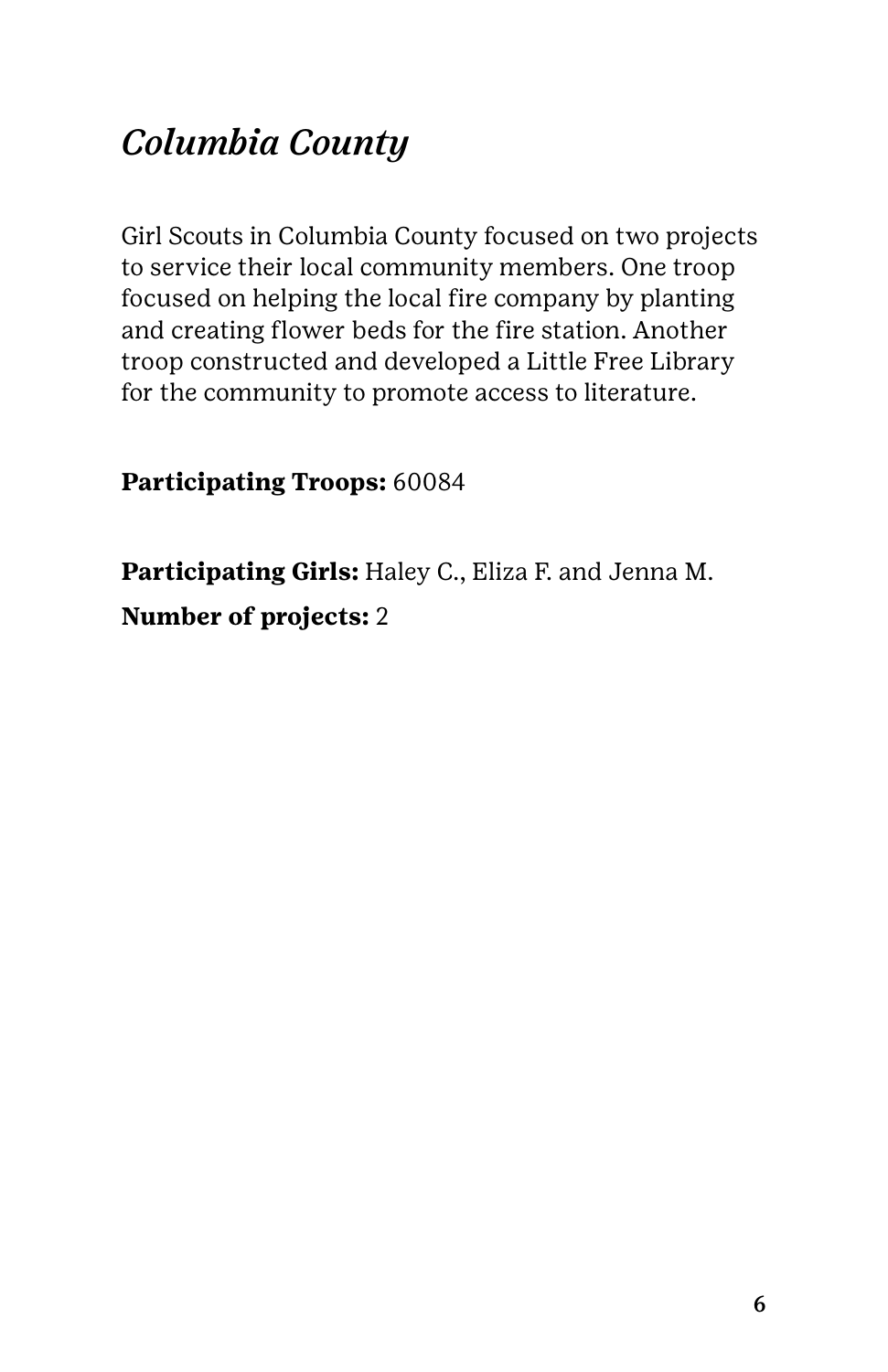### *Columbia County*

Girl Scouts in Columbia County focused on two projects to service their local community members. One troop focused on helping the local fire company by planting and creating flower beds for the fire station. Another troop constructed and developed a Little Free Library for the community to promote access to literature.

**Participating Troops:** 60084

**Participating Girls:** Haley C., Eliza F. and Jenna M. **Number of projects:** 2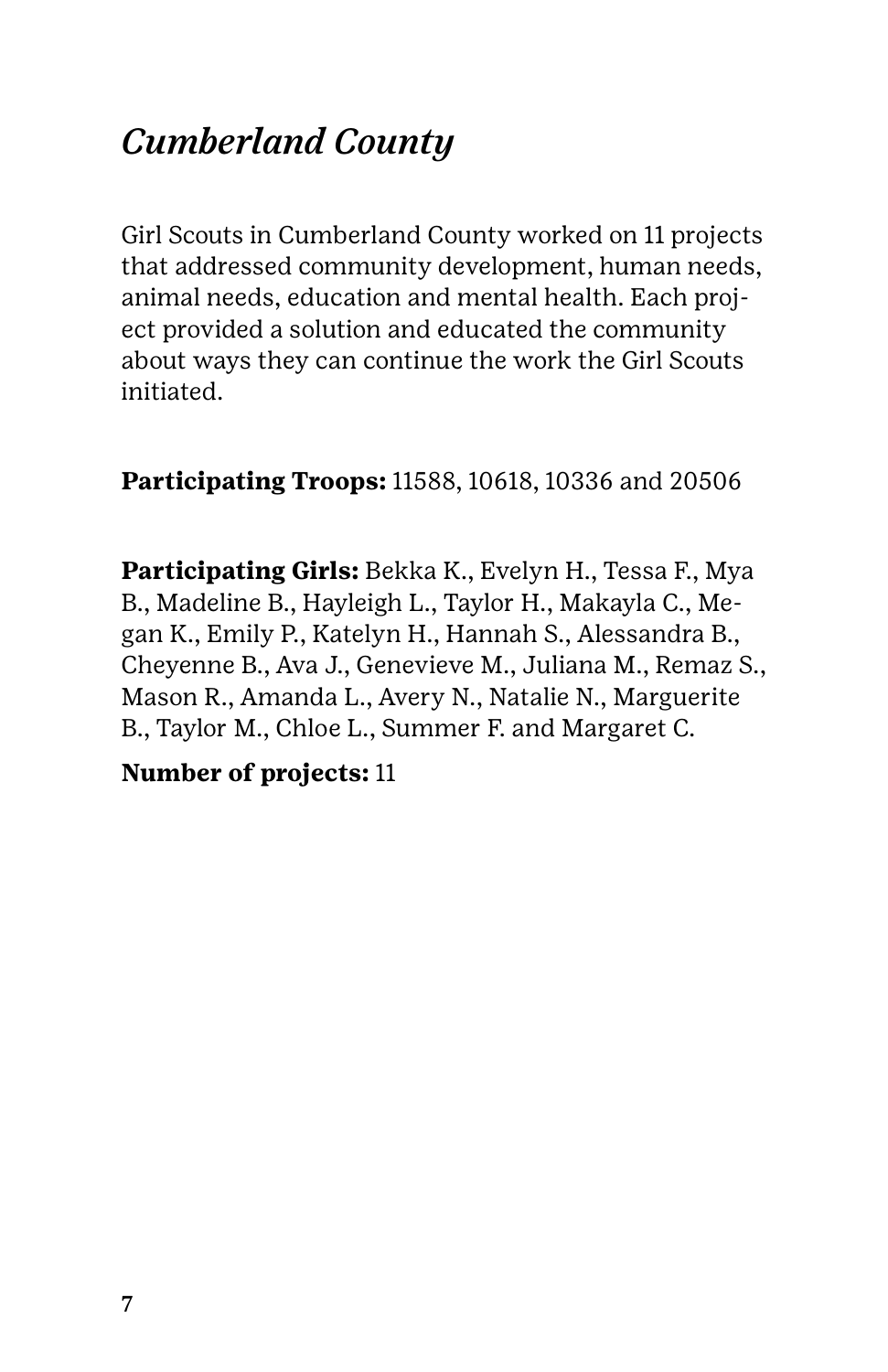### *Cumberland County*

Girl Scouts in Cumberland County worked on 11 projects that addressed community development, human needs, animal needs, education and mental health. Each project provided a solution and educated the community about ways they can continue the work the Girl Scouts initiated.

**Participating Troops:** 11588, 10618, 10336 and 20506

**Participating Girls:** Bekka K., Evelyn H., Tessa F., Mya B., Madeline B., Hayleigh L., Taylor H., Makayla C., Megan K., Emily P., Katelyn H., Hannah S., Alessandra B., Cheyenne B., Ava J., Genevieve M., Juliana M., Remaz S., Mason R., Amanda L., Avery N., Natalie N., Marguerite B., Taylor M., Chloe L., Summer F. and Margaret C.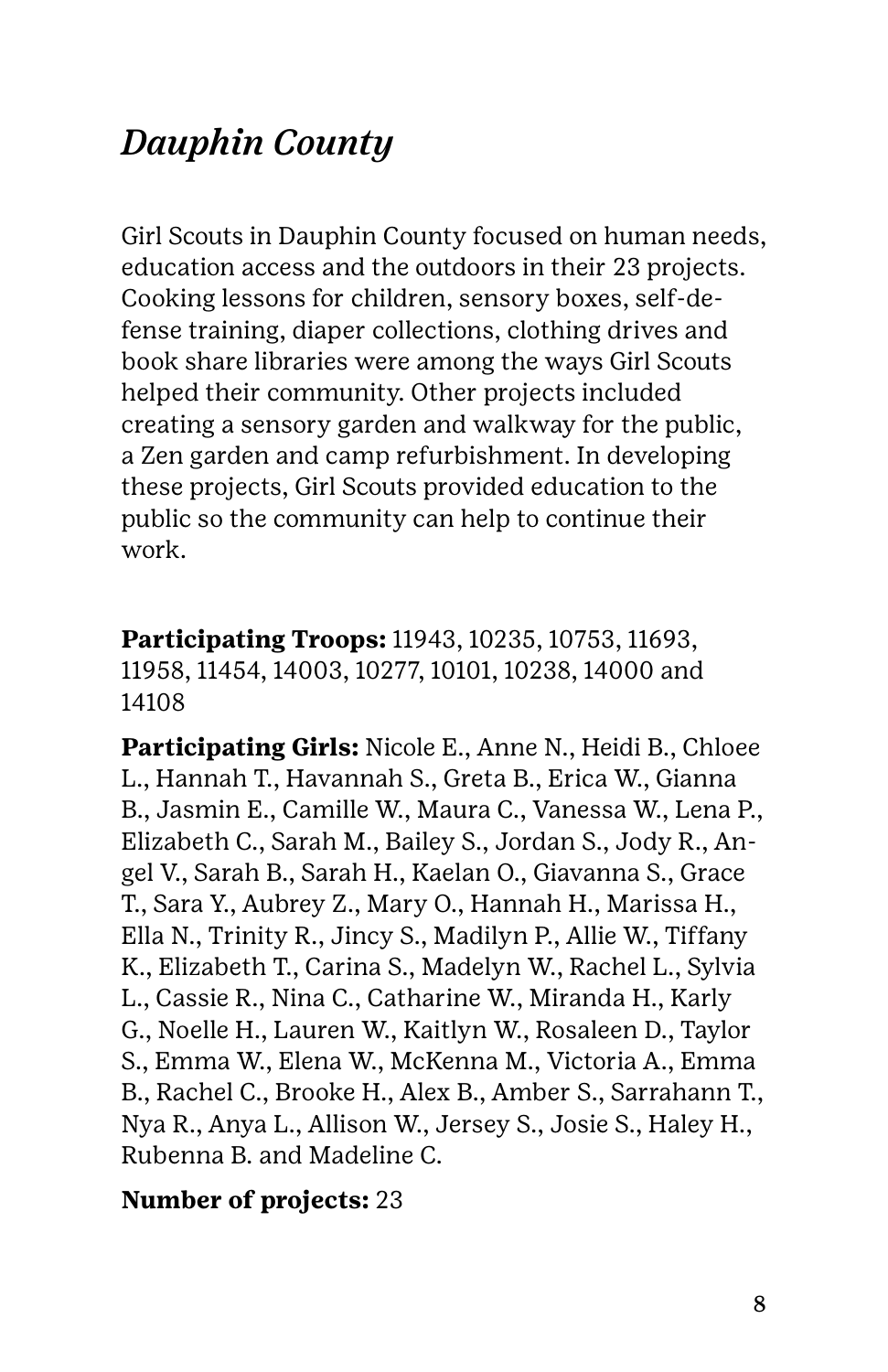### *Dauphin County*

Girl Scouts in Dauphin County focused on human needs, education access and the outdoors in their 23 projects. Cooking lessons for children, sensory boxes, self-defense training, diaper collections, clothing drives and book share libraries were among the ways Girl Scouts helped their community. Other projects included creating a sensory garden and walkway for the public, a Zen garden and camp refurbishment. In developing these projects, Girl Scouts provided education to the public so the community can help to continue their work.

**Participating Troops:** 11943, 10235, 10753, 11693, 11958, 11454, 14003, 10277, 10101, 10238, 14000 and 14108

**Participating Girls:** Nicole E., Anne N., Heidi B., Chloee L., Hannah T., Havannah S., Greta B., Erica W., Gianna B., Jasmin E., Camille W., Maura C., Vanessa W., Lena P., Elizabeth C., Sarah M., Bailey S., Jordan S., Jody R., Angel V., Sarah B., Sarah H., Kaelan O., Giavanna S., Grace T., Sara Y., Aubrey Z., Mary O., Hannah H., Marissa H., Ella N., Trinity R., Jincy S., Madilyn P., Allie W., Tiffany K., Elizabeth T., Carina S., Madelyn W., Rachel L., Sylvia L., Cassie R., Nina C., Catharine W., Miranda H., Karly G., Noelle H., Lauren W., Kaitlyn W., Rosaleen D., Taylor S., Emma W., Elena W., McKenna M., Victoria A., Emma B., Rachel C., Brooke H., Alex B., Amber S., Sarrahann T., Nya R., Anya L., Allison W., Jersey S., Josie S., Haley H., Rubenna B. and Madeline C.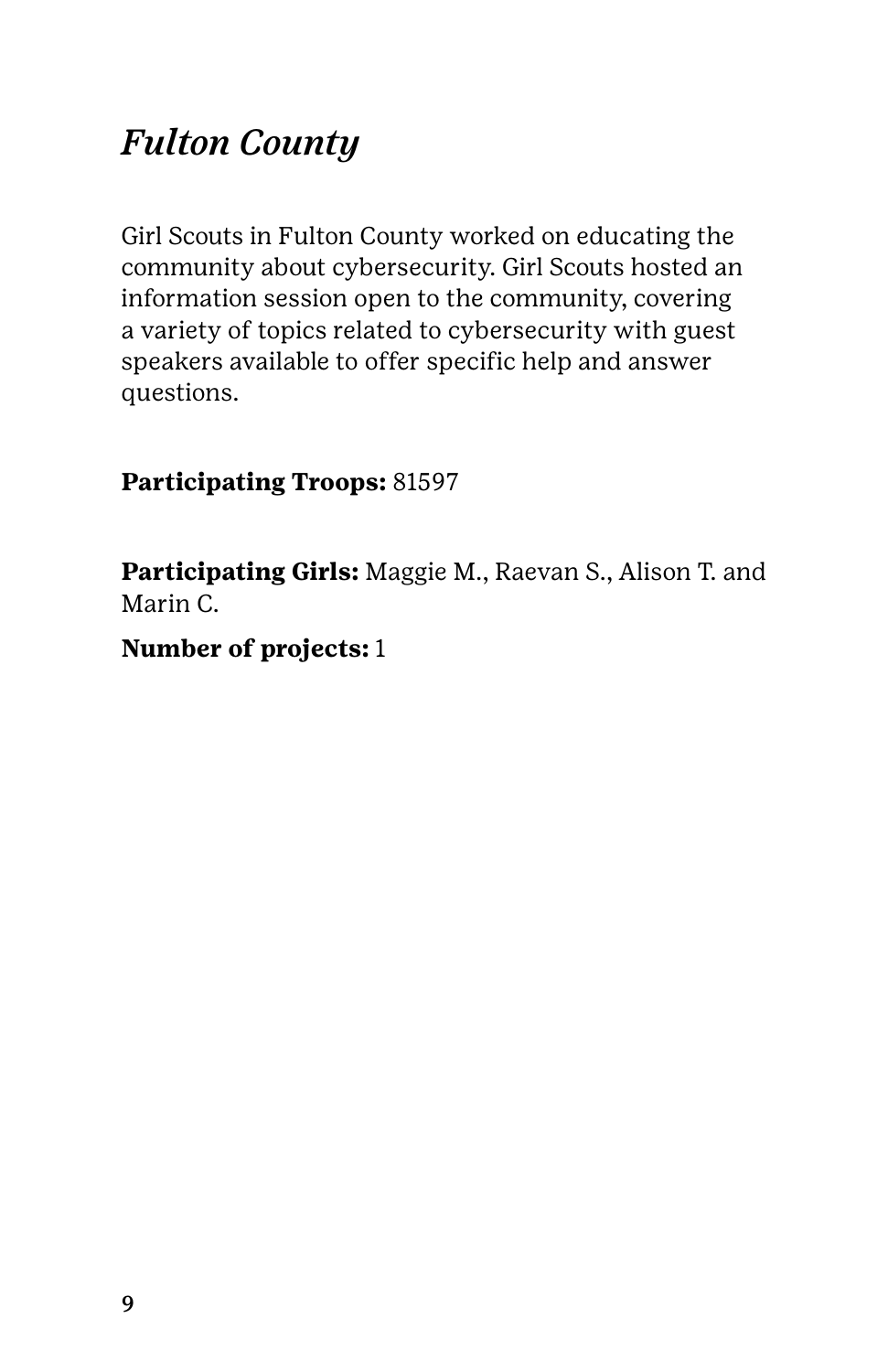### *Fulton County*

Girl Scouts in Fulton County worked on educating the community about cybersecurity. Girl Scouts hosted an information session open to the community, covering a variety of topics related to cybersecurity with guest speakers available to offer specific help and answer questions.

**Participating Troops:** 81597

**Participating Girls:** Maggie M., Raevan S., Alison T. and Marin C.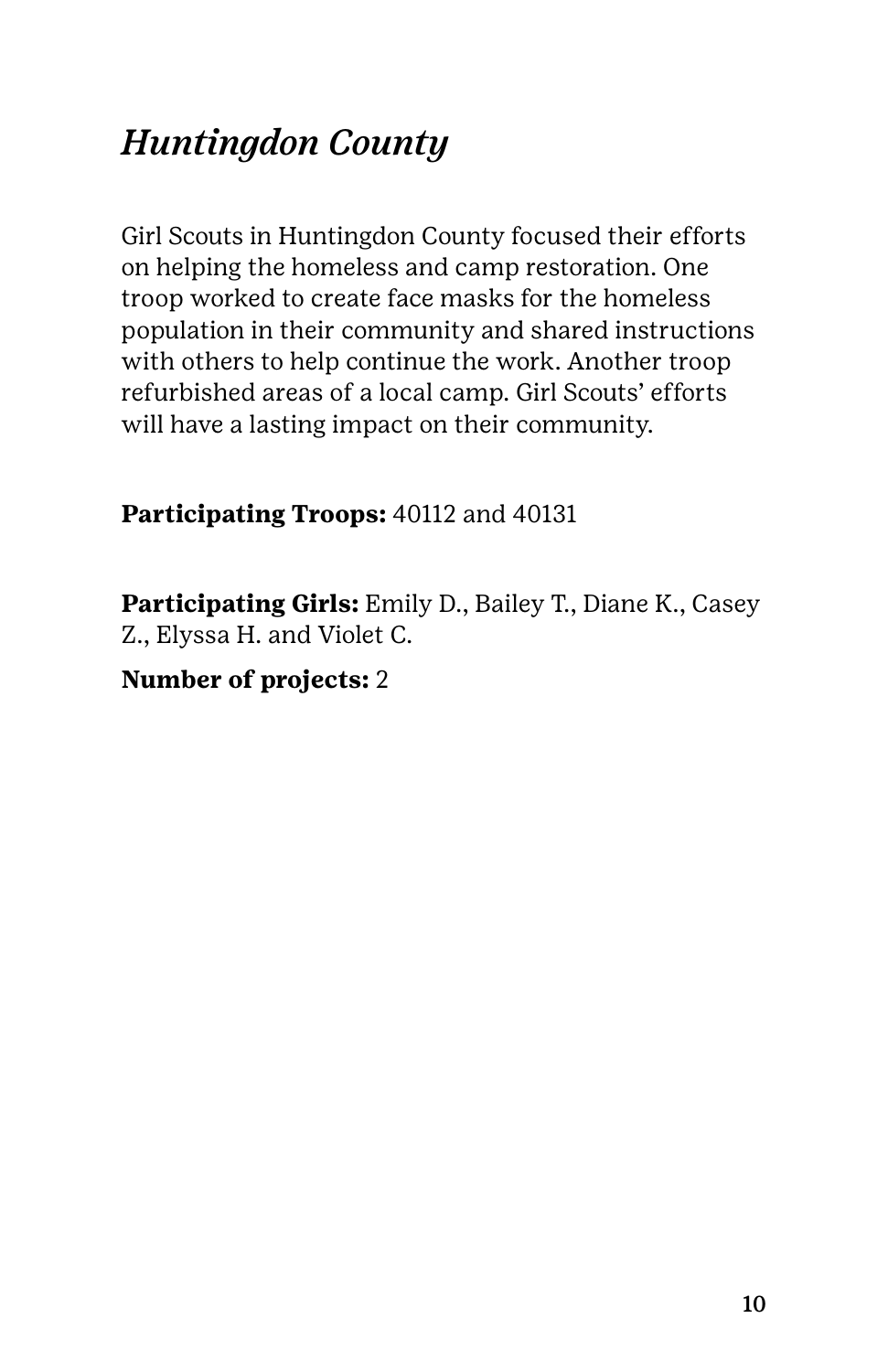### *Huntingdon County*

Girl Scouts in Huntingdon County focused their efforts on helping the homeless and camp restoration. One troop worked to create face masks for the homeless population in their community and shared instructions with others to help continue the work. Another troop refurbished areas of a local camp. Girl Scouts' efforts will have a lasting impact on their community.

#### **Participating Troops:** 40112 and 40131

**Participating Girls:** Emily D., Bailey T., Diane K., Casey Z., Elyssa H. and Violet C.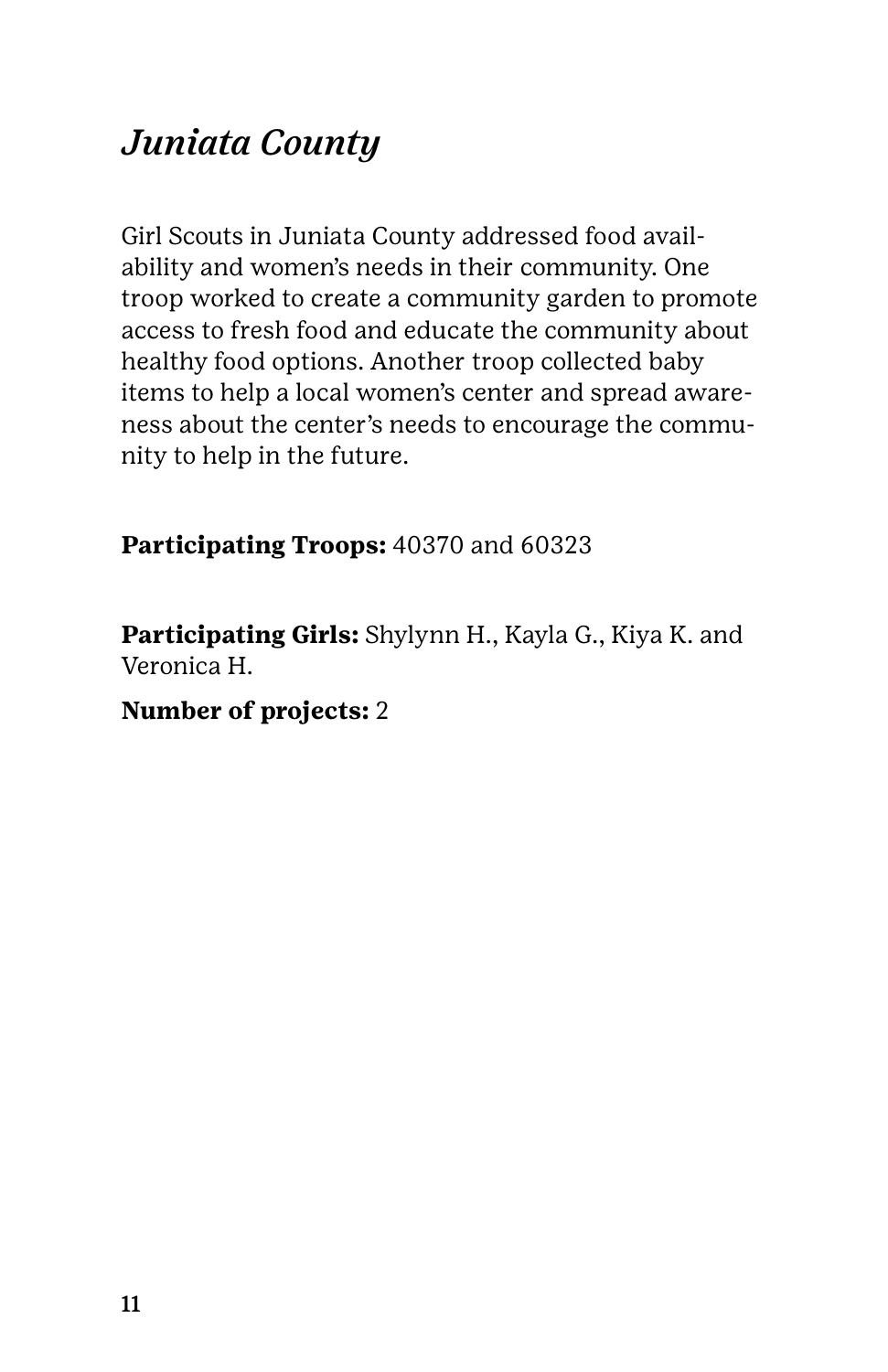### *Juniata County*

Girl Scouts in Juniata County addressed food availability and women's needs in their community. One troop worked to create a community garden to promote access to fresh food and educate the community about healthy food options. Another troop collected baby items to help a local women's center and spread awareness about the center's needs to encourage the community to help in the future.

#### **Participating Troops:** 40370 and 60323

**Participating Girls:** Shylynn H., Kayla G., Kiya K. and Veronica H.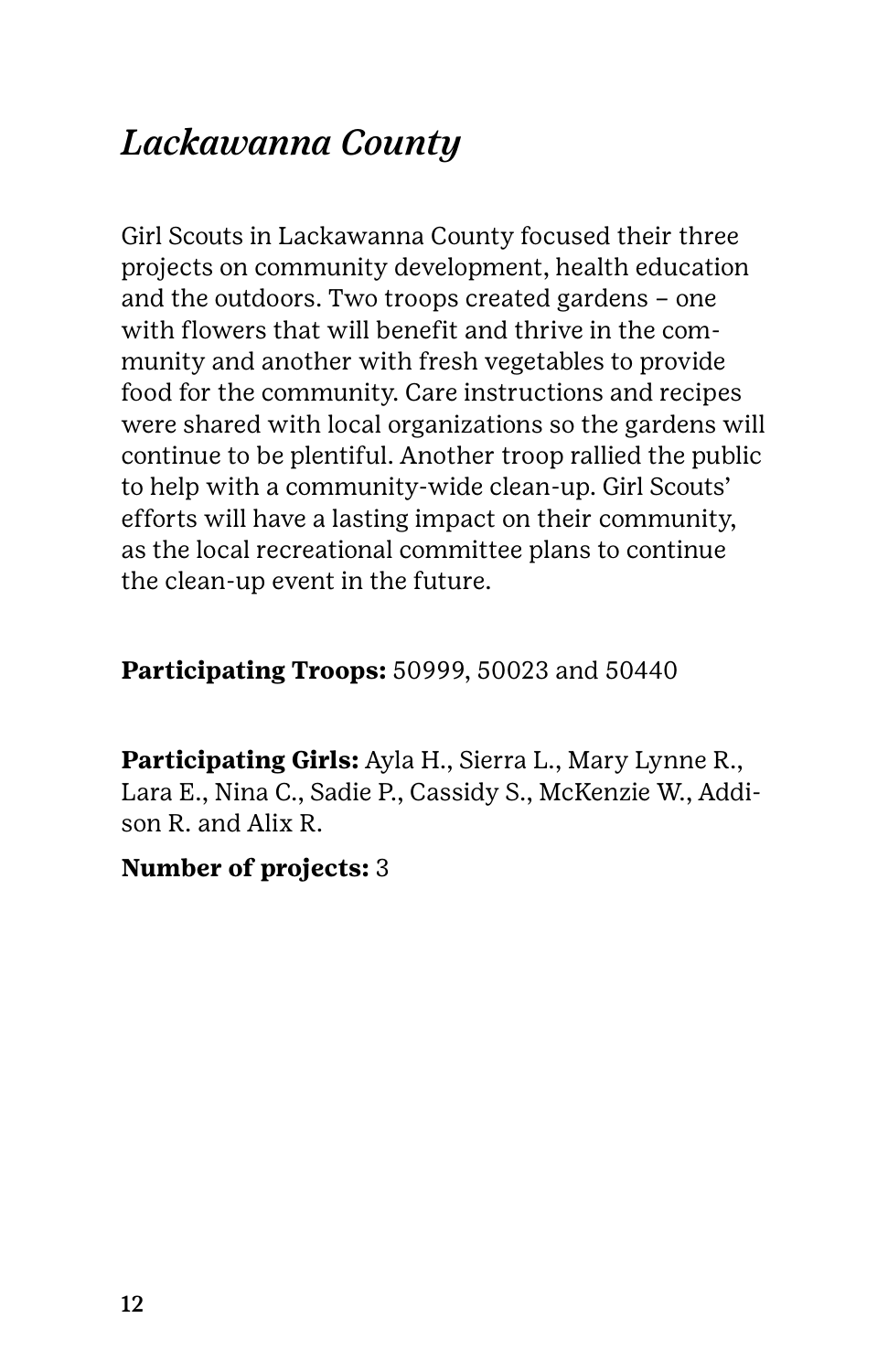### *Lackawanna County*

Girl Scouts in Lackawanna County focused their three projects on community development, health education and the outdoors. Two troops created gardens – one with flowers that will benefit and thrive in the community and another with fresh vegetables to provide food for the community. Care instructions and recipes were shared with local organizations so the gardens will continue to be plentiful. Another troop rallied the public to help with a community-wide clean-up. Girl Scouts' efforts will have a lasting impact on their community, as the local recreational committee plans to continue the clean-up event in the future.

#### **Participating Troops:** 50999, 50023 and 50440

**Participating Girls:** Ayla H., Sierra L., Mary Lynne R., Lara E., Nina C., Sadie P., Cassidy S., McKenzie W., Addison R. and Alix R.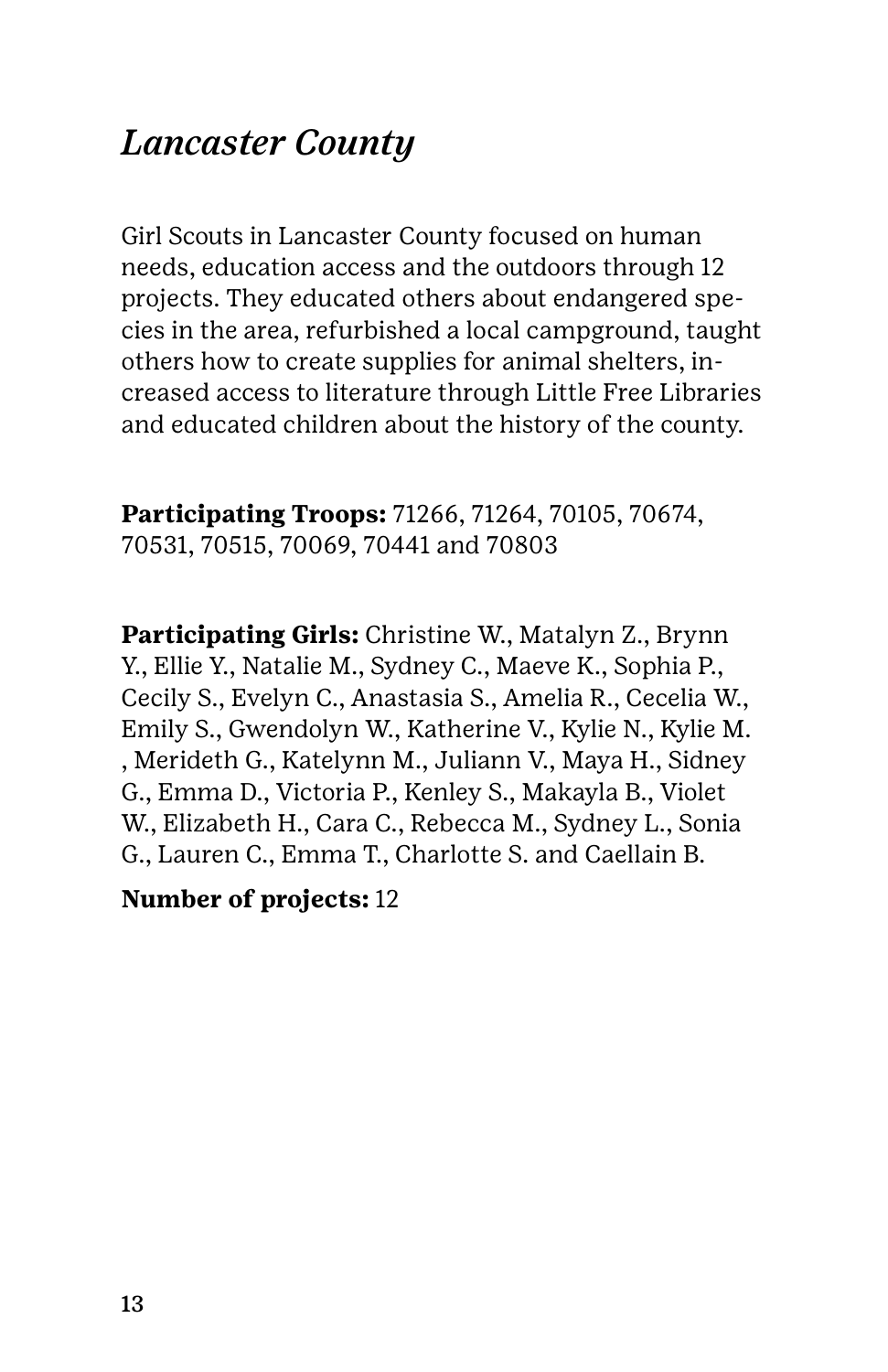### *Lancaster County*

Girl Scouts in Lancaster County focused on human needs, education access and the outdoors through 12 projects. They educated others about endangered species in the area, refurbished a local campground, taught others how to create supplies for animal shelters, increased access to literature through Little Free Libraries and educated children about the history of the county.

**Participating Troops:** 71266, 71264, 70105, 70674, 70531, 70515, 70069, 70441 and 70803

**Participating Girls:** Christine W., Matalyn Z., Brynn Y., Ellie Y., Natalie M., Sydney C., Maeve K., Sophia P., Cecily S., Evelyn C., Anastasia S., Amelia R., Cecelia W., Emily S., Gwendolyn W., Katherine V., Kylie N., Kylie M. , Merideth G., Katelynn M., Juliann V., Maya H., Sidney G., Emma D., Victoria P., Kenley S., Makayla B., Violet W., Elizabeth H., Cara C., Rebecca M., Sydney L., Sonia G., Lauren C., Emma T., Charlotte S. and Caellain B.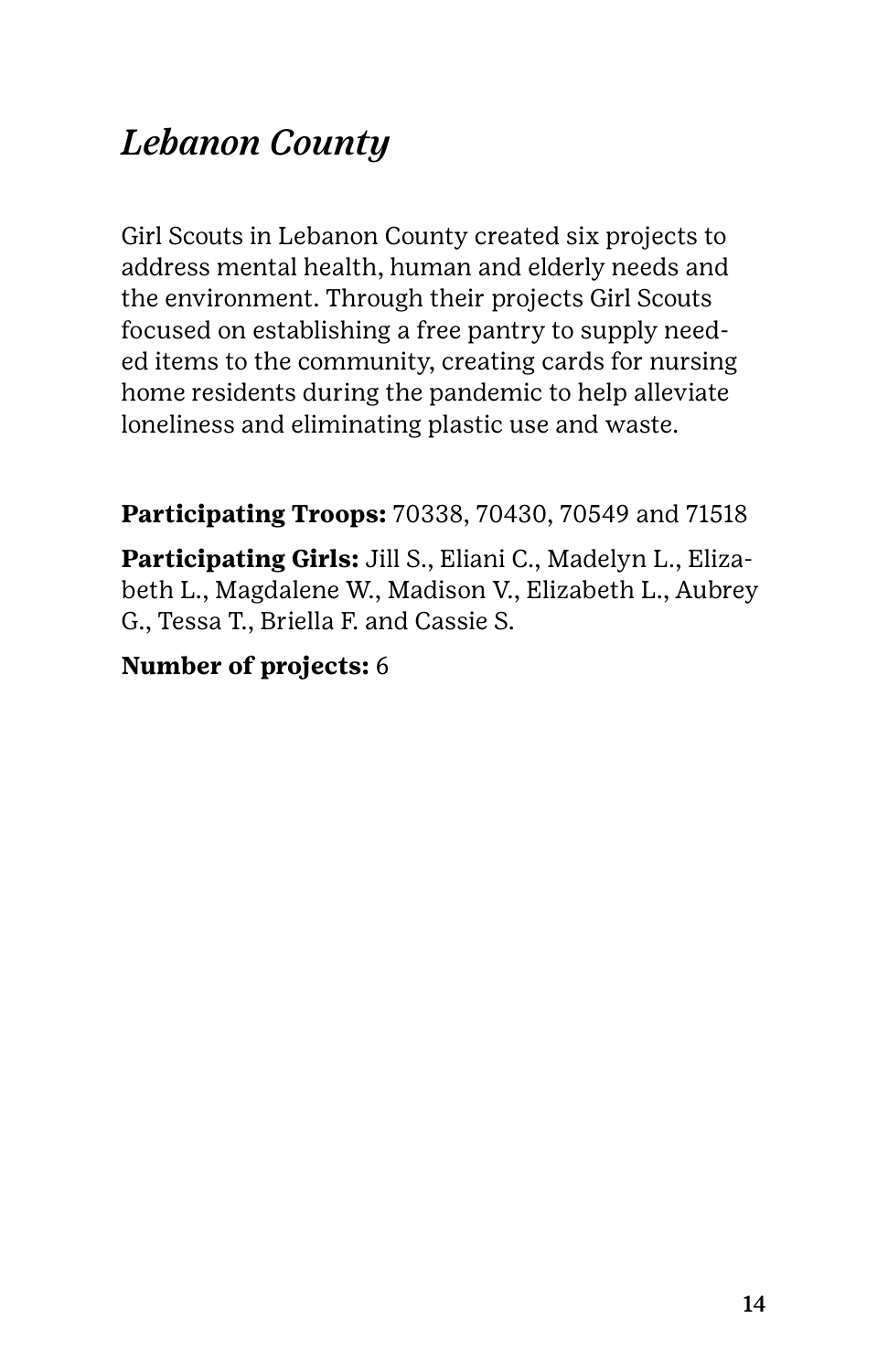### *Lebanon County*

Girl Scouts in Lebanon County created six projects to address mental health, human and elderly needs and the environment. Through their projects Girl Scouts focused on establishing a free pantry to supply needed items to the community, creating cards for nursing home residents during the pandemic to help alleviate loneliness and eliminating plastic use and waste.

**Participating Troops:** 70338, 70430, 70549 and 71518

**Participating Girls:** Jill S., Eliani C., Madelyn L., Elizabeth L., Magdalene W., Madison V., Elizabeth L., Aubrey G., Tessa T., Briella F. and Cassie S.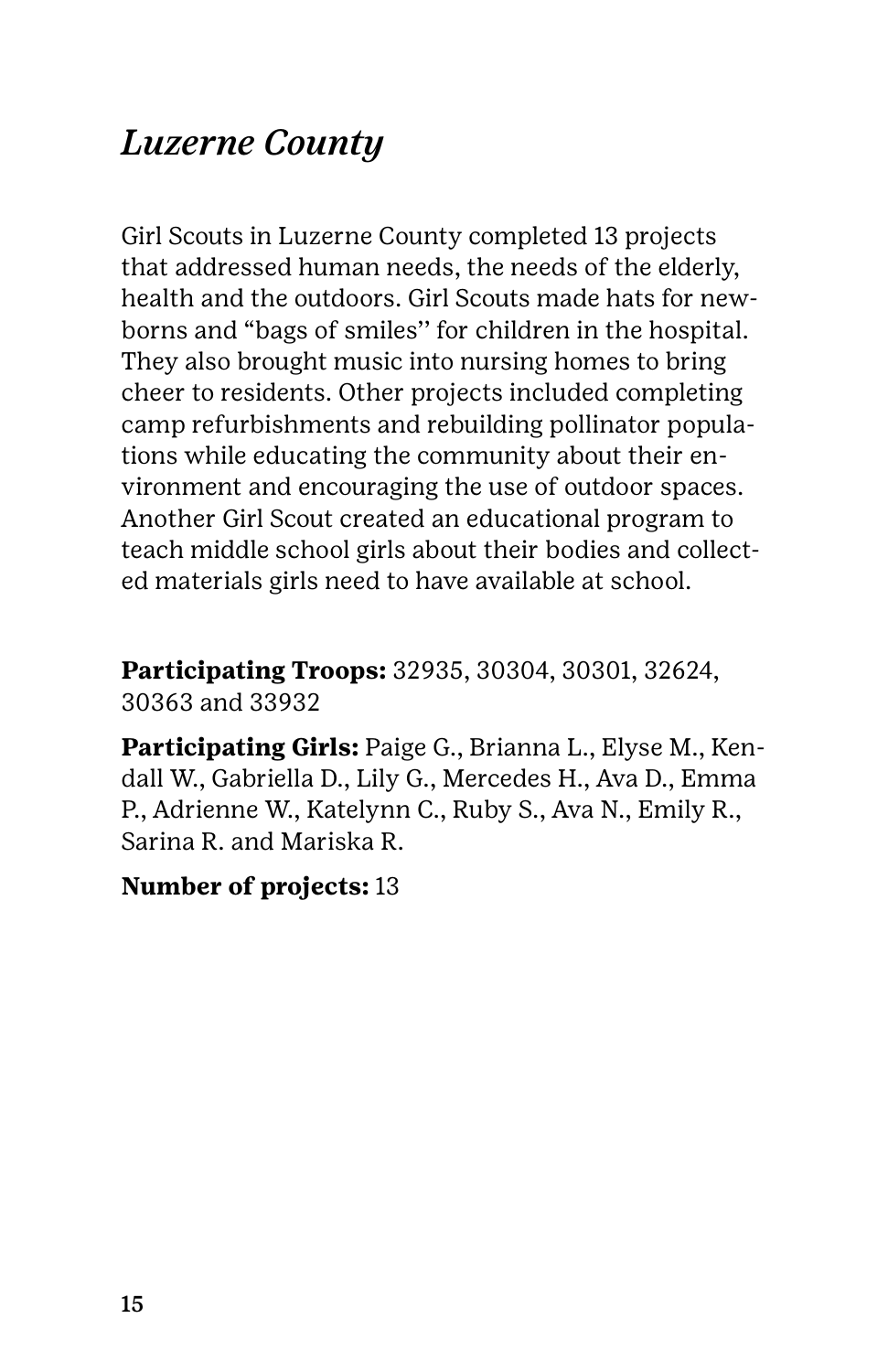### *Luzerne County*

Girl Scouts in Luzerne County completed 13 projects that addressed human needs, the needs of the elderly, health and the outdoors. Girl Scouts made hats for newborns and "bags of smiles'' for children in the hospital. They also brought music into nursing homes to bring cheer to residents. Other projects included completing camp refurbishments and rebuilding pollinator populations while educating the community about their environment and encouraging the use of outdoor spaces. Another Girl Scout created an educational program to teach middle school girls about their bodies and collected materials girls need to have available at school.

**Participating Troops:** 32935, 30304, 30301, 32624, 30363 and 33932

**Participating Girls:** Paige G., Brianna L., Elyse M., Kendall W., Gabriella D., Lily G., Mercedes H., Ava D., Emma P., Adrienne W., Katelynn C., Ruby S., Ava N., Emily R., Sarina R. and Mariska R.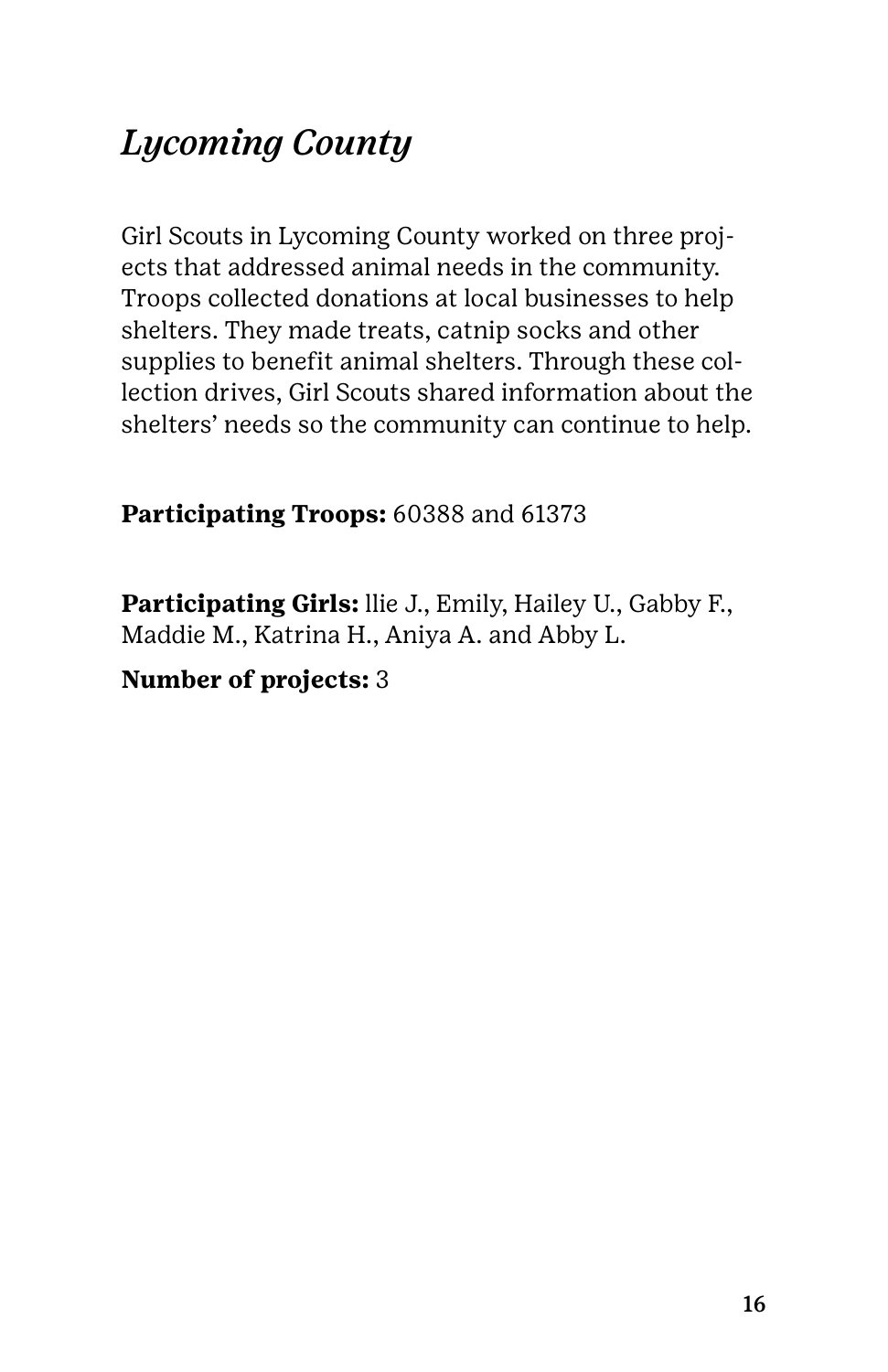### *Lycoming County*

Girl Scouts in Lycoming County worked on three projects that addressed animal needs in the community. Troops collected donations at local businesses to help shelters. They made treats, catnip socks and other supplies to benefit animal shelters. Through these collection drives, Girl Scouts shared information about the shelters' needs so the community can continue to help.

#### **Participating Troops:** 60388 and 61373

**Participating Girls:** llie J., Emily, Hailey U., Gabby F., Maddie M., Katrina H., Aniya A. and Abby L.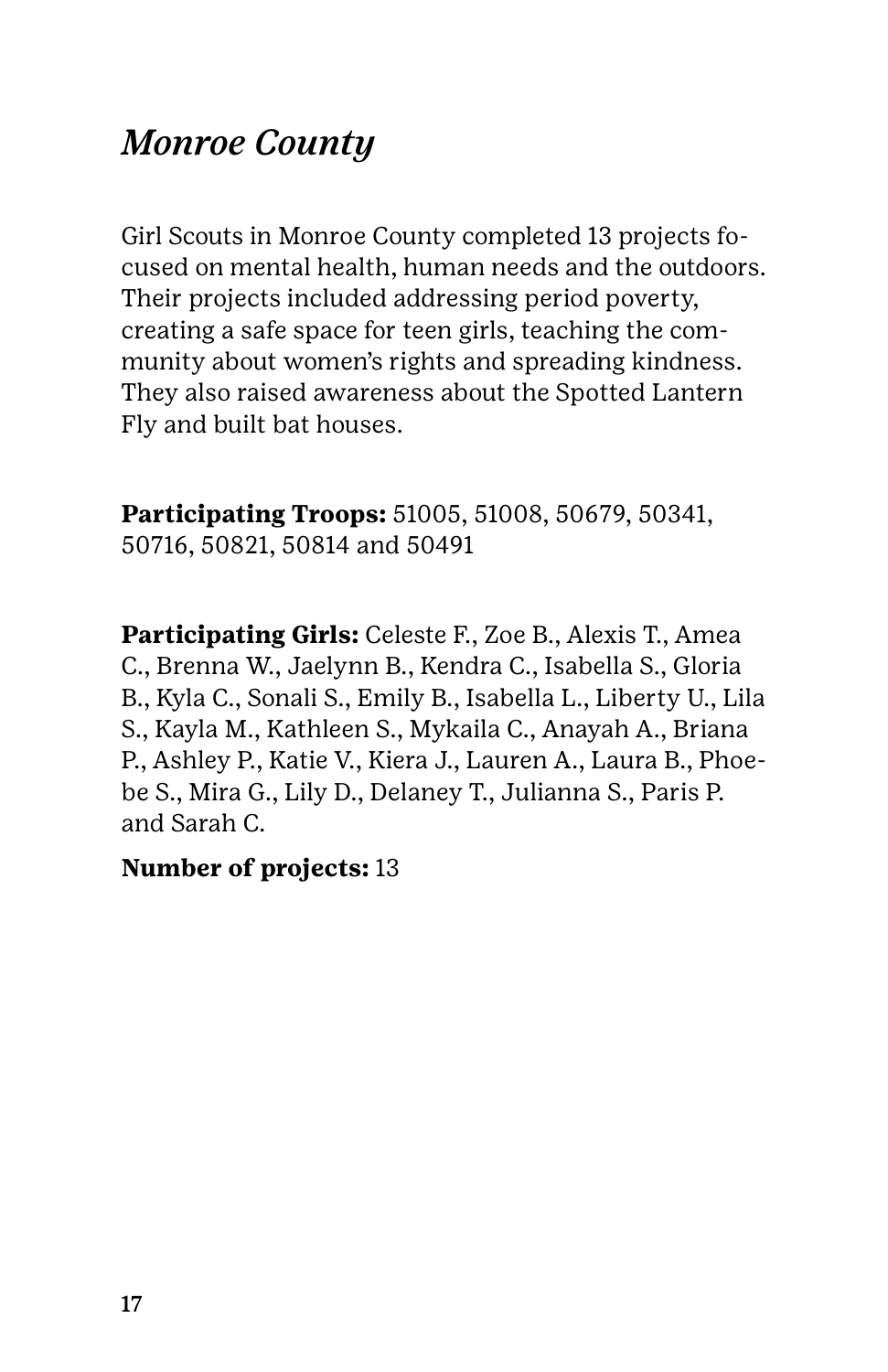### *Monroe County*

Girl Scouts in Monroe County completed 13 projects focused on mental health, human needs and the outdoors. Their projects included addressing period poverty, creating a safe space for teen girls, teaching the community about women's rights and spreading kindness. They also raised awareness about the Spotted Lantern Fly and built bat houses.

**Participating Troops:** 51005, 51008, 50679, 50341, 50716, 50821, 50814 and 50491

**Participating Girls:** Celeste F., Zoe B., Alexis T., Amea C., Brenna W., Jaelynn B., Kendra C., Isabella S., Gloria B., Kyla C., Sonali S., Emily B., Isabella L., Liberty U., Lila S., Kayla M., Kathleen S., Mykaila C., Anayah A., Briana P., Ashley P., Katie V., Kiera J., Lauren A., Laura B., Phoebe S., Mira G., Lily D., Delaney T., Julianna S., Paris P. and Sarah C.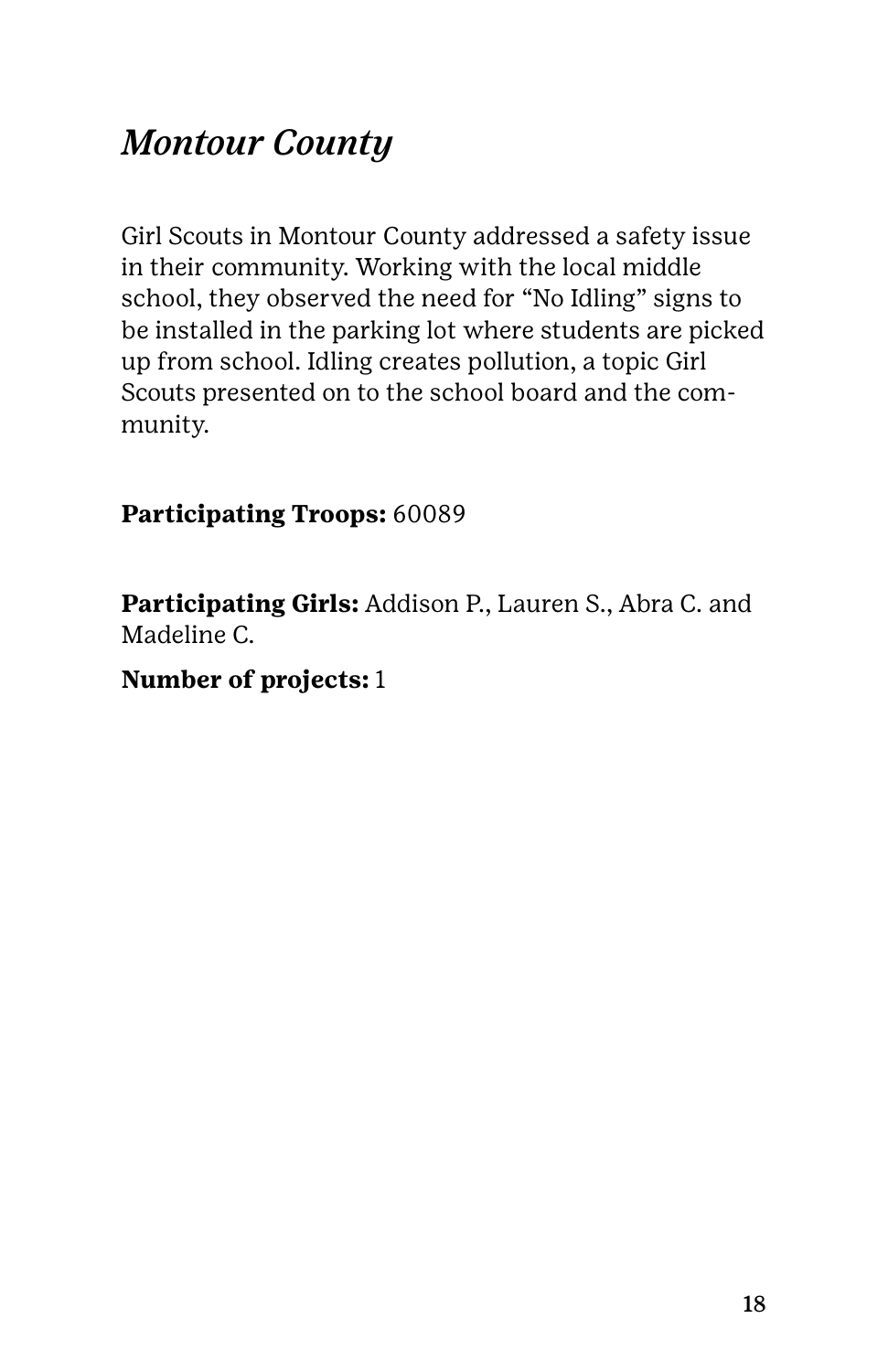### *Montour County*

Girl Scouts in Montour County addressed a safety issue in their community. Working with the local middle school, they observed the need for "No Idling" signs to be installed in the parking lot where students are picked up from school. Idling creates pollution, a topic Girl Scouts presented on to the school board and the community.

#### **Participating Troops:** 60089

**Participating Girls:** Addison P., Lauren S., Abra C. and Madeline C.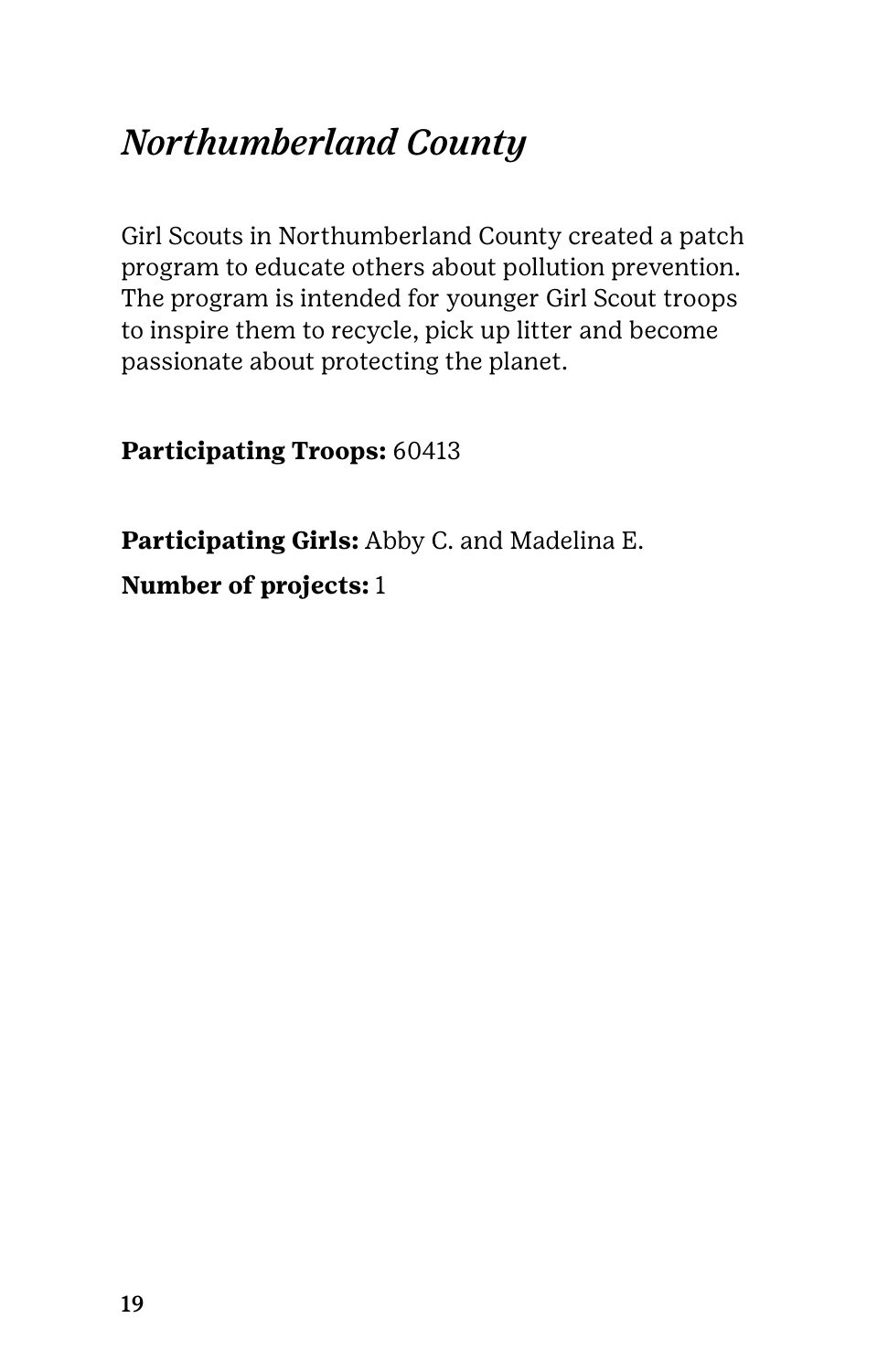### *Northumberland County*

Girl Scouts in Northumberland County created a patch program to educate others about pollution prevention. The program is intended for younger Girl Scout troops to inspire them to recycle, pick up litter and become passionate about protecting the planet.

**Participating Troops:** 60413

**Participating Girls:** Abby C. and Madelina E. **Number of projects:** 1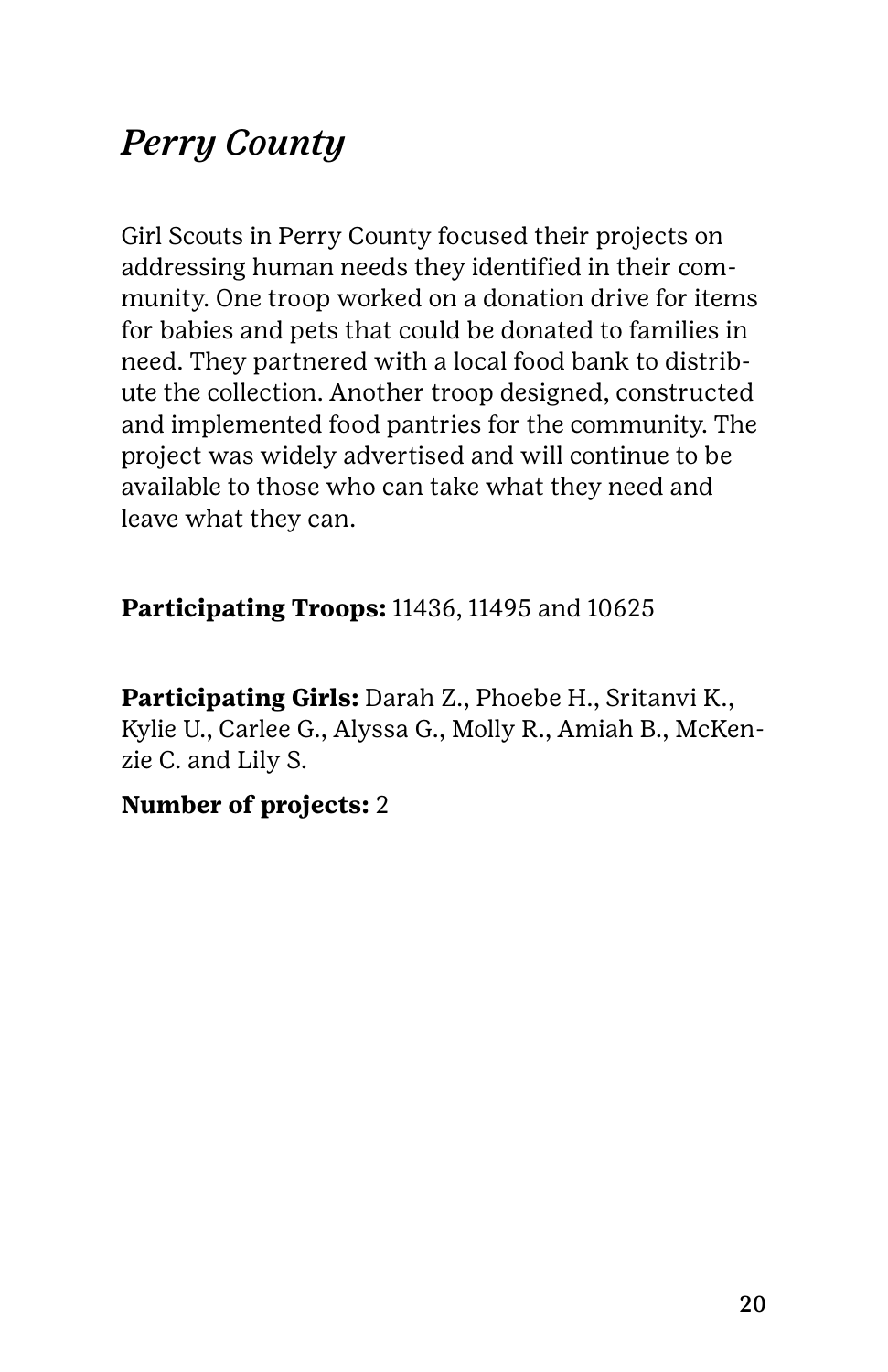### *Perry County*

Girl Scouts in Perry County focused their projects on addressing human needs they identified in their community. One troop worked on a donation drive for items for babies and pets that could be donated to families in need. They partnered with a local food bank to distribute the collection. Another troop designed, constructed and implemented food pantries for the community. The project was widely advertised and will continue to be available to those who can take what they need and leave what they can.

#### **Participating Troops:** 11436, 11495 and 10625

**Participating Girls:** Darah Z., Phoebe H., Sritanvi K., Kylie U., Carlee G., Alyssa G., Molly R., Amiah B., McKenzie C. and Lily S.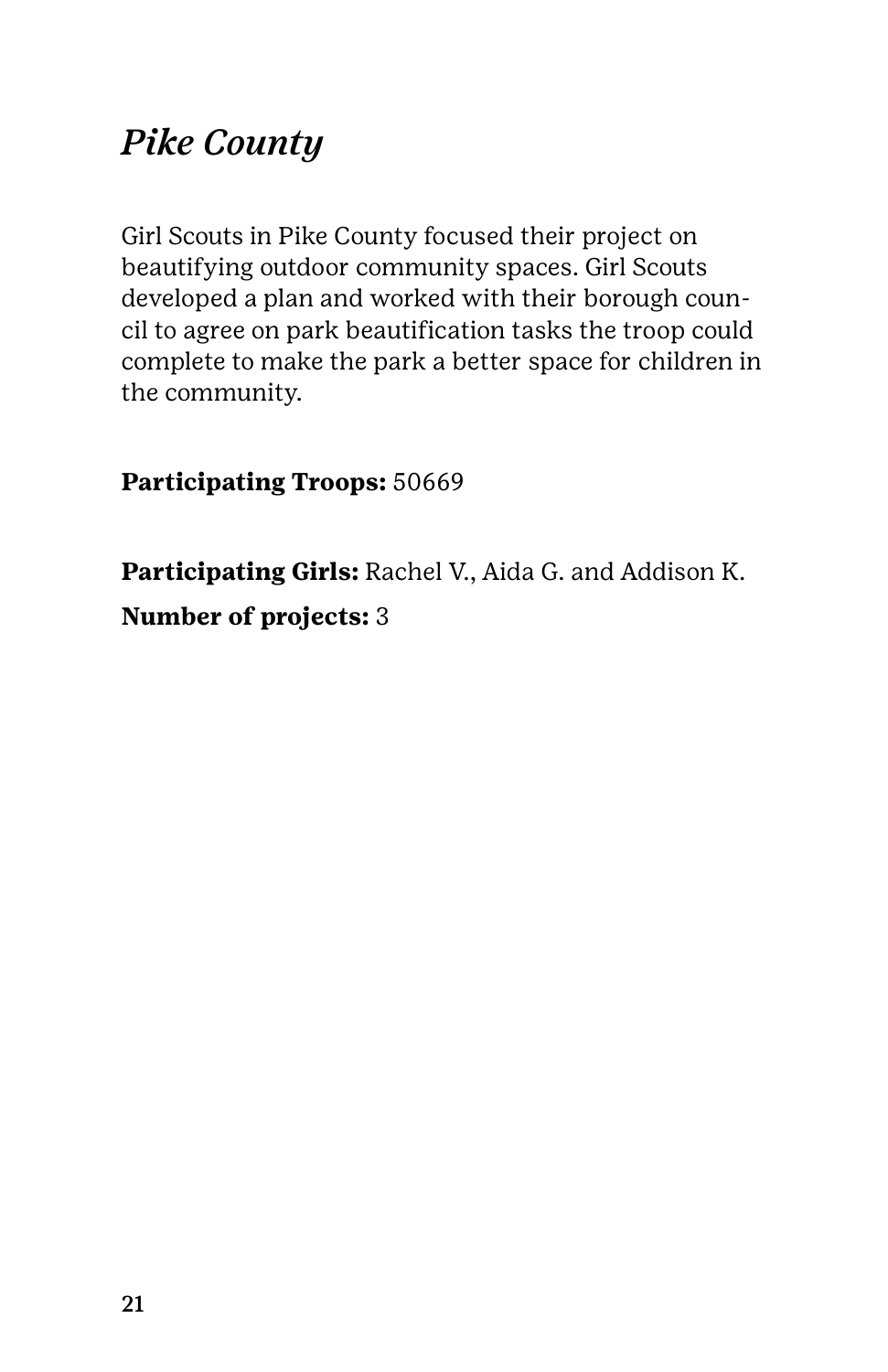### *Pike County*

Girl Scouts in Pike County focused their project on beautifying outdoor community spaces. Girl Scouts developed a plan and worked with their borough council to agree on park beautification tasks the troop could complete to make the park a better space for children in the community.

**Participating Troops:** 50669

**Participating Girls:** Rachel V., Aida G. and Addison K. **Number of projects:** 3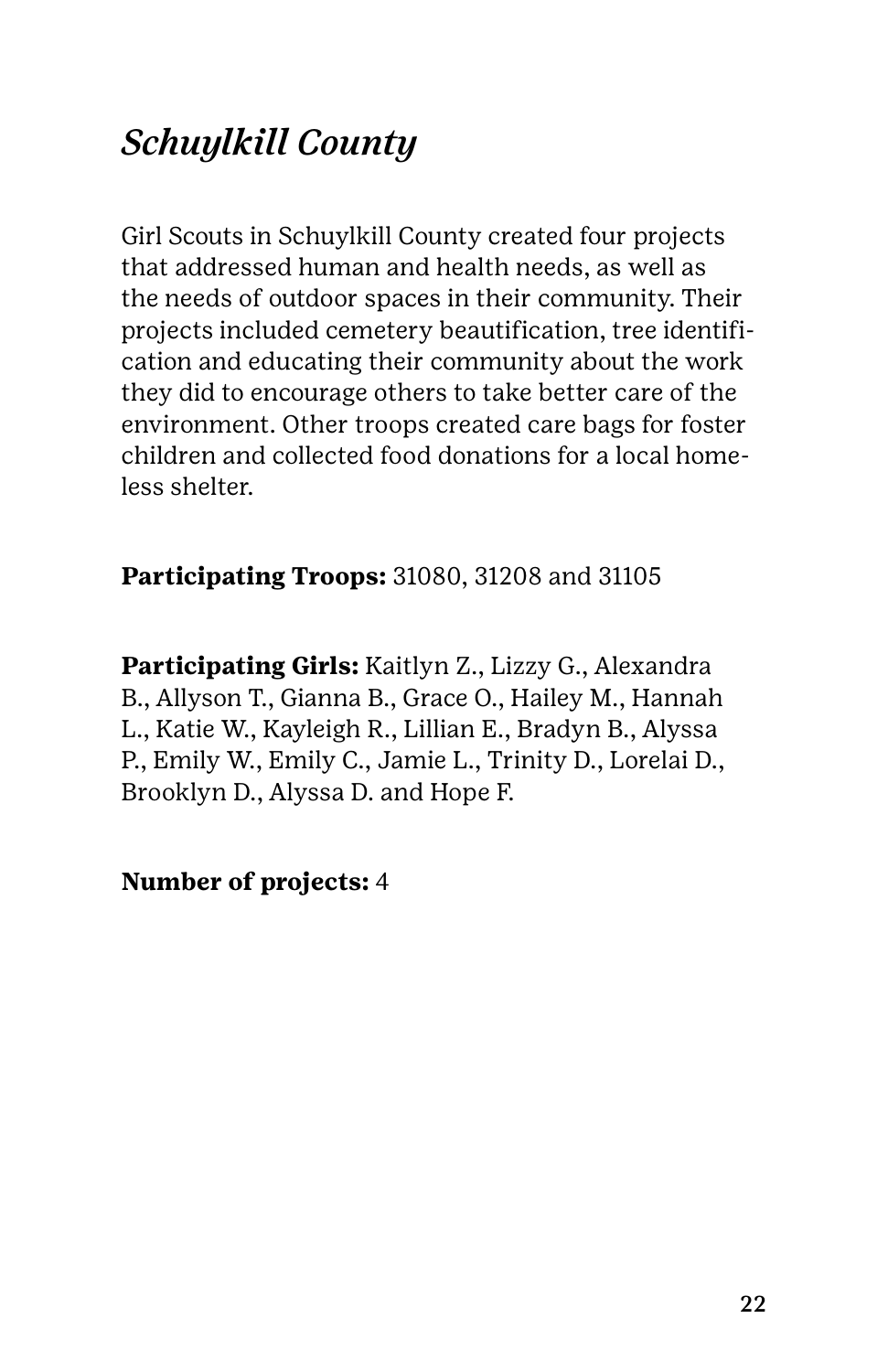### *Schuylkill County*

Girl Scouts in Schuylkill County created four projects that addressed human and health needs, as well as the needs of outdoor spaces in their community. Their projects included cemetery beautification, tree identification and educating their community about the work they did to encourage others to take better care of the environment. Other troops created care bags for foster children and collected food donations for a local homeless shelter.

#### **Participating Troops:** 31080, 31208 and 31105

**Participating Girls:** Kaitlyn Z., Lizzy G., Alexandra B., Allyson T., Gianna B., Grace O., Hailey M., Hannah L., Katie W., Kayleigh R., Lillian E., Bradyn B., Alyssa P., Emily W., Emily C., Jamie L., Trinity D., Lorelai D., Brooklyn D., Alyssa D. and Hope F.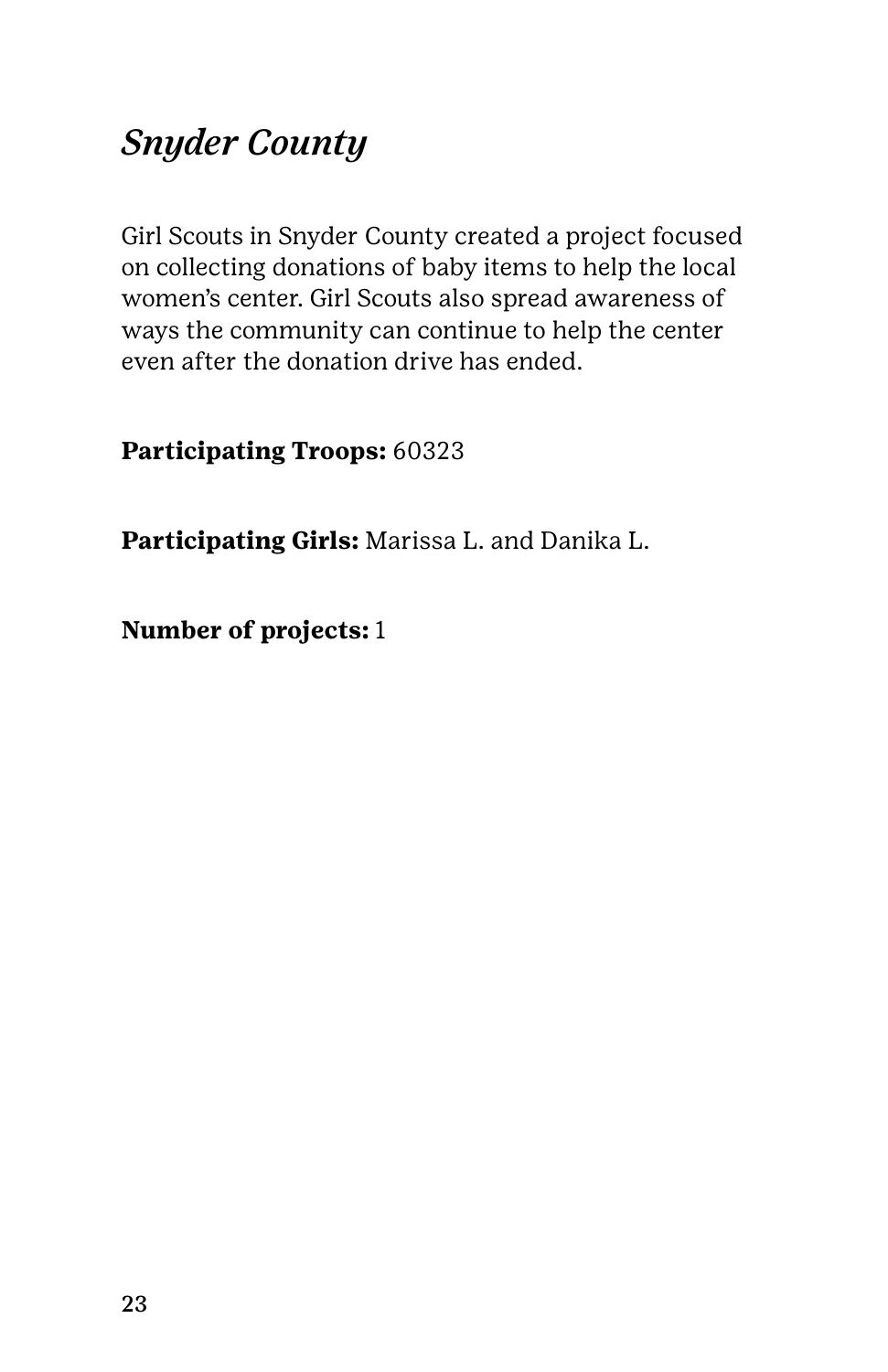### *Snyder County*

Girl Scouts in Snyder County created a project focused on collecting donations of baby items to help the local women's center. Girl Scouts also spread awareness of ways the community can continue to help the center even after the donation drive has ended.

**Participating Troops:** 60323

**Participating Girls:** Marissa L. and Danika L.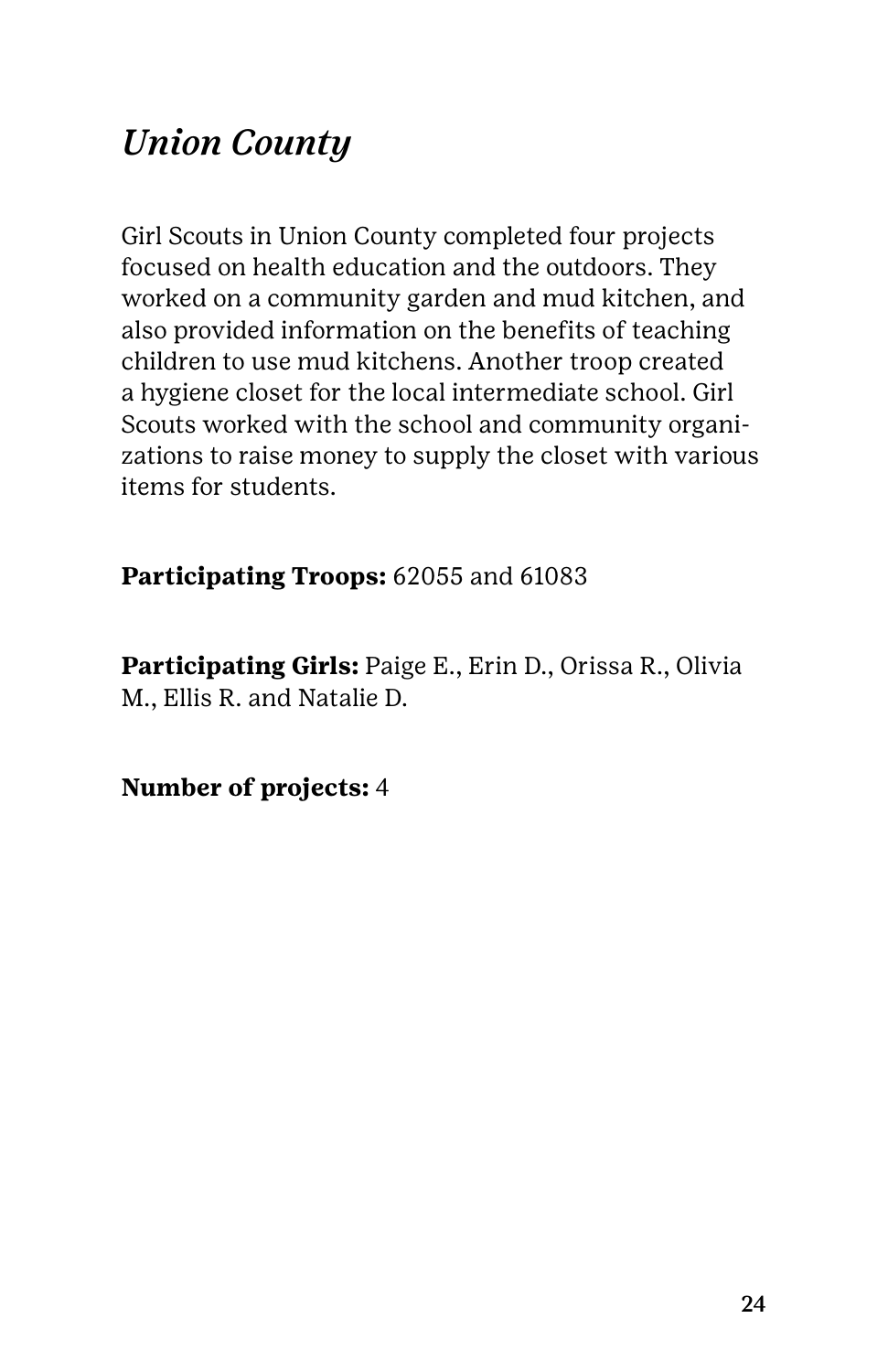### *Union County*

Girl Scouts in Union County completed four projects focused on health education and the outdoors. They worked on a community garden and mud kitchen, and also provided information on the benefits of teaching children to use mud kitchens. Another troop created a hygiene closet for the local intermediate school. Girl Scouts worked with the school and community organizations to raise money to supply the closet with various items for students.

#### **Participating Troops:** 62055 and 61083

**Participating Girls:** Paige E., Erin D., Orissa R., Olivia M., Ellis R. and Natalie D.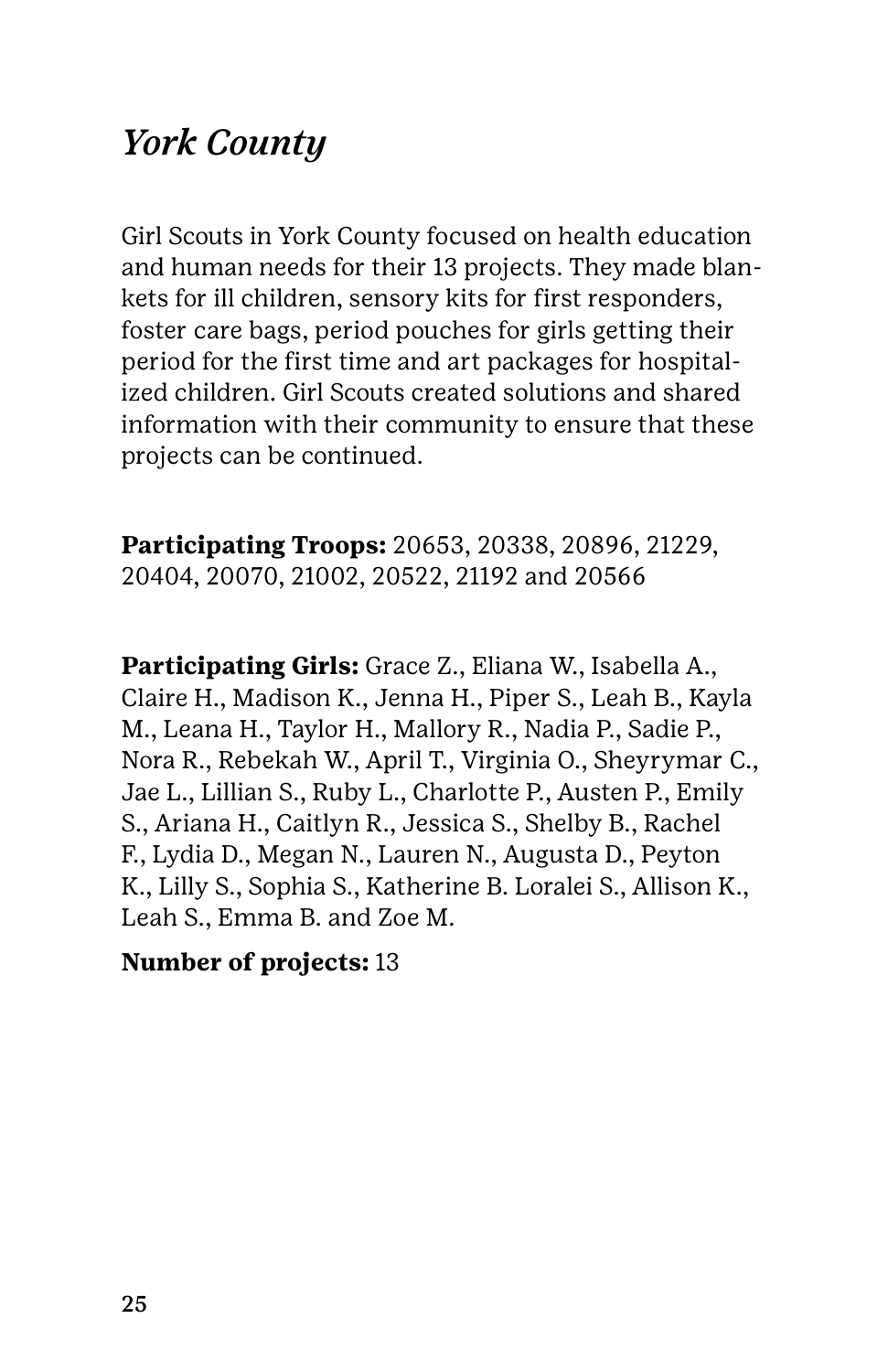### *York County*

Girl Scouts in York County focused on health education and human needs for their 13 projects. They made blankets for ill children, sensory kits for first responders, foster care bags, period pouches for girls getting their period for the first time and art packages for hospitalized children. Girl Scouts created solutions and shared information with their community to ensure that these projects can be continued.

**Participating Troops:** 20653, 20338, 20896, 21229, 20404, 20070, 21002, 20522, 21192 and 20566

**Participating Girls:** Grace Z., Eliana W., Isabella A., Claire H., Madison K., Jenna H., Piper S., Leah B., Kayla M., Leana H., Taylor H., Mallory R., Nadia P., Sadie P., Nora R., Rebekah W., April T., Virginia O., Sheyrymar C., Jae L., Lillian S., Ruby L., Charlotte P., Austen P., Emily S., Ariana H., Caitlyn R., Jessica S., Shelby B., Rachel F., Lydia D., Megan N., Lauren N., Augusta D., Peyton K., Lilly S., Sophia S., Katherine B. Loralei S., Allison K., Leah S., Emma B. and Zoe M.